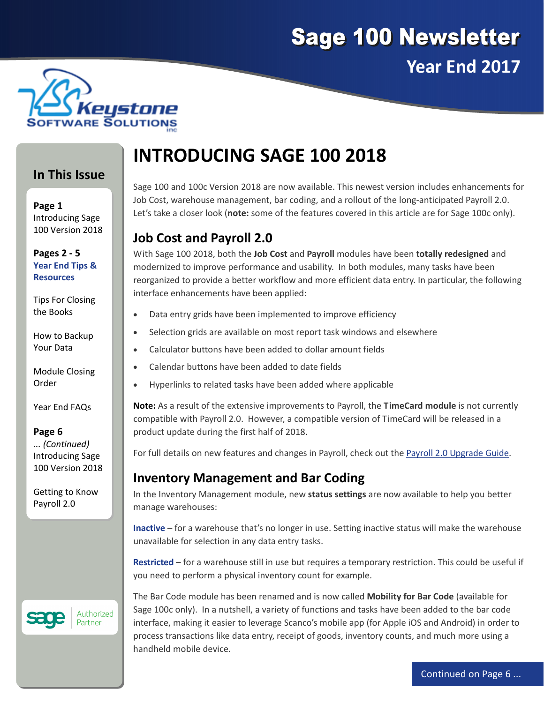



### **In This Issue**

**Page 1** Introducing Sage 100 Version 2018

**Pages 2 ‐ 5 Year End Tips & Resources**

Tips For Closing the Books

How to Backup Your Data

Module Closing Order

Year End FAQs

#### **Page 6**

*... (Continued)* Introducing Sage 100 Version 2018

Getting to Know Payroll 2.0

# Authorized

Partner

# **INTRODUCING SAGE 100 2018**

Sage 100 and 100c Version 2018 are now available. This newest version includes enhancements for Job Cost, warehouse management, bar coding, and a rollout of the long-anticipated Payroll 2.0. Let's take a closer look (**note:** some of the features covered in this article are for Sage 100c only).

# **Job Cost and Payroll 2.0**

With Sage 100 2018, both the **Job Cost** and **Payroll** modules have been **totally redesigned** and modernized to improve performance and usability. In both modules, many tasks have been reorganized to provide a better workflow and more efficient data entry. In particular, the following interface enhancements have been applied:

- Data entry grids have been implemented to improve efficiency
- Selection grids are available on most report task windows and elsewhere
- Calculator buttons have been added to dollar amount fields
- Calendar buttons have been added to date fields
- Hyperlinks to related tasks have been added where applicable

**Note:** As a result of the extensive improvements to Payroll, the **TimeCard module** is not currently compatible with Payroll 2.0. However, a compatible version of TimeCard will be released in a product update during the first half of 2018.

For full details on new features and changes in Payroll, check out the Payroll 2.0 [Upgrade](https://cdn.na.sage.com/docs/en/customer/100erp/2018n/open/payroll_upgrade.pdf) Guide.

### **Inventory Management and Bar Coding**

In the Inventory Management module, new **status settings** are now available to help you better manage warehouses:

**Inactive** – for a warehouse that's no longer in use. Setting inactive status will make the warehouse unavailable for selection in any data entry tasks.

**Restricted** – for a warehouse still in use but requires a temporary restriction. This could be useful if you need to perform a physical inventory count for example.

The Bar Code module has been renamed and is now called **Mobility for Bar Code** (available for Sage 100c only). In a nutshell, a variety of functions and tasks have been added to the bar code interface, making it easier to leverage Scanco's mobile app (for Apple iOS and Android) in order to process transactions like data entry, receipt of goods, inventory counts, and much more using a handheld mobile device.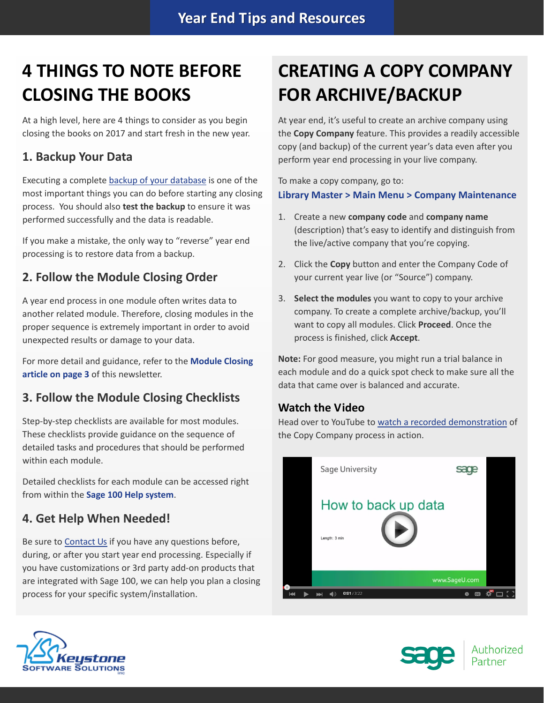# **4 THINGS TO NOTE BEFORE CLOSING THE BOOKS**

At a high level, here are 4 things to consider as you begin closing the books on 2017 and start fresh in the new year.

## **1. Backup Your Data**

Executing a complete backup of your [database](https://support.na.sage.com/selfservice/viewContent.do;jsessionid=55388B45719F45B498E2EA2AB9AC91DB.worker1g?externalId=20262&sliceId=1) is one of the most important things you can do before starting any closing process. You should also **test the backup** to ensure it was performed successfully and the data is readable.

If you make a mistake, the only way to "reverse" year end processing is to restore data from a backup.

## **2. Follow the Module Closing Order**

A year end process in one module often writes data to another related module. Therefore, closing modules in the proper sequence is extremely important in order to avoid unexpected results or damage to your data.

For more detail and guidance, refer to the **Module Closing article on page 3** of this newsletter.

## **3. Follow the Module Closing Checklists**

Step-by-step checklists are available for most modules. These checklists provide guidance on the sequence of detailed tasks and procedures that should be performed within each module.

Detailed checklists for each module can be accessed right from within the **Sage 100 Help system**.

## **4. Get Help When Needed!**

Be sure to [Contact](mailto:Info@KeystoneSoftware.com?subject=Year%20End%20Processing%20Help) Us if you have any questions before, during, or after you start year end processing. Especially if you have customizations or 3rd party add‐on products that are integrated with Sage 100, we can help you plan a closing process for your specific system/installation.

# **CREATING A COPY COMPANY FOR ARCHIVE/BACKUP**

At year end, it's useful to create an archive company using the **Copy Company** feature. This provides a readily accessible copy (and backup) of the current year's data even after you perform year end processing in your live company.

To make a copy company, go to: **Library Master > Main Menu > Company Maintenance** 

- 1. Create a new **company code** and **company name** (description) that's easy to identify and distinguish from the live/active company that you're copying.
- 2. Click the **Copy** button and enter the Company Code of your current year live (or "Source") company.
- 3. **Select the modules** you want to copy to your archive company. To create a complete archive/backup, you'll want to copy all modules. Click **Proceed**. Once the process is finished, click **Accept**.

**Note:** For good measure, you might run a trial balance in each module and do a quick spot check to make sure all the data that came over is balanced and accurate.

### **Watch the Video**

Head over to YouTube to watch a recorded [demonstration](https://www.youtube.com/watch?v=IPrDNdsuFwU) of the Copy Company process in action.





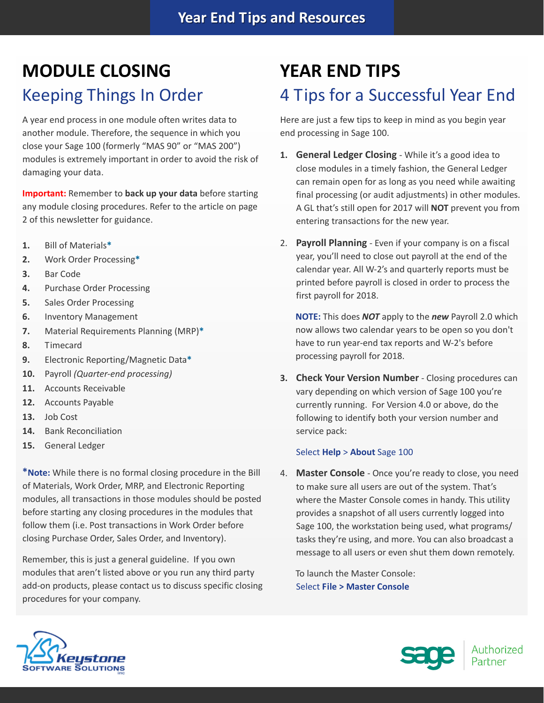# **MODULE CLOSING** Keeping Things In Order

A year end process in one module often writes data to another module. Therefore, the sequence in which you close your Sage 100 (formerly "MAS 90" or "MAS 200") modules is extremely important in order to avoid the risk of damaging your data.

**Important:** Remember to **back up your data** before starting any module closing procedures. Refer to the article on page 2 of this newsletter for guidance.

- **1.** Bill of Materials**\***
- **2.** Work Order Processing**\***
- **3.** Bar Code
- **4.** Purchase Order Processing
- **5.** Sales Order Processing
- **6.** Inventory Management
- **7.** Material Requirements Planning (MRP)**\***
- **8.** Timecard
- **9.** Electronic Reporting/Magnetic Data**\***
- **10.** Payroll *(Quarter‐end processing)*
- **11.** Accounts Receivable
- **12.** Accounts Payable
- **13.** Job Cost
- **14.** Bank Reconciliation
- **15.** General Ledger

**\*Note:** While there is no formal closing procedure in the Bill of Materials, Work Order, MRP, and Electronic Reporting modules, all transactions in those modules should be posted before starting any closing procedures in the modules that follow them (i.e. Post transactions in Work Order before closing Purchase Order, Sales Order, and Inventory).

Remember, this is just a general guideline. If you own modules that aren't listed above or you run any third party add-on products, please contact us to discuss specific closing procedures for your company.

# **YEAR END TIPS** 4 Tips for a Successful Year End

Here are just a few tips to keep in mind as you begin year end processing in Sage 100.

- **1. General Ledger Closing** ‐ While it's a good idea to close modules in a timely fashion, the General Ledger can remain open for as long as you need while awaiting final processing (or audit adjustments) in other modules. A GL that's still open for 2017 will **NOT** prevent you from entering transactions for the new year.
- 2. **Payroll Planning** ‐ Even if your company is on a fiscal year, you'll need to close out payroll at the end of the calendar year. All W‐2's and quarterly reports must be printed before payroll is closed in order to process the first payroll for 2018.

**NOTE:** This does *NOT* apply to the *new* Payroll 2.0 which now allows two calendar years to be open so you don't have to run year-end tax reports and W-2's before processing payroll for 2018.

**3. Check Your Version Number** ‐ Closing procedures can vary depending on which version of Sage 100 you're currently running. For Version 4.0 or above, do the following to identify both your version number and service pack:

#### Select **Help** > **About** Sage 100

4. **Master Console** ‐ Once you're ready to close, you need to make sure all users are out of the system. That's where the Master Console comes in handy. This utility provides a snapshot of all users currently logged into Sage 100, the workstation being used, what programs/ tasks they're using, and more. You can also broadcast a message to all users or even shut them down remotely.

To launch the Master Console: Select **File > Master Console**



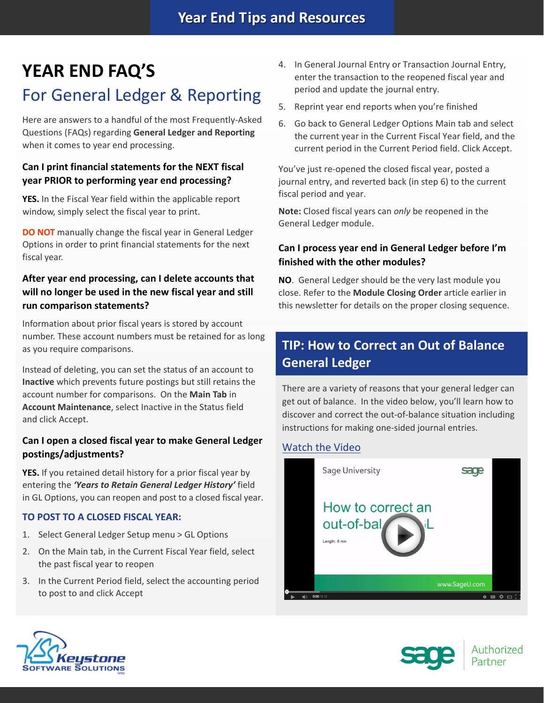# **YEAR END FAQ'S**

# For General Ledger & Reporting

Here are answers to a handful of the most Frequently‐Asked Questions (FAQs) regarding **General Ledger and Reporting** when it comes to year end processing.

### **Can I print financial statements for the NEXT fiscal year PRIOR to performing year end processing?**

**YES.** In the Fiscal Year field within the applicable report window, simply select the fiscal year to print.

**DO NOT** manually change the fiscal year in General Ledger Options in order to print financial statements for the next fiscal year.

### **After year end processing, can I delete accounts that will no longer be used in the new fiscal year and still run comparison statements?**

Information about prior fiscal years is stored by account number. These account numbers must be retained for as long as you require comparisons.

Instead of deleting, you can set the status of an account to **Inactive** which prevents future postings but still retains the account number for comparisons. On the **Main Tab** in **Account Maintenance**, select Inactive in the Status field and click Accept.

### **Can I open a closed fiscal year to make General Ledger postings/adjustments?**

**YES.** If you retained detail history for a prior fiscal year by entering the *'Years to Retain General Ledger History'* field in GL Options, you can reopen and post to a closed fiscal year.

#### **TO POST TO A CLOSED FISCAL YEAR:**

- 1. Select General Ledger Setup menu > GL Options
- 2. On the Main tab, in the Current Fiscal Year field, select the past fiscal year to reopen
- 3. In the Current Period field, select the accounting period to post to and click Accept
- 4. In General Journal Entry or Transaction Journal Entry, enter the transaction to the reopened fiscal year and period and update the journal entry.
- 5. Reprint year end reports when you're finished
- 6. Go back to General Ledger Options Main tab and select the current year in the Current Fiscal Year field, and the current period in the Current Period field. Click Accept.

You've just re‐opened the closed fiscal year, posted a journal entry, and reverted back (in step 6) to the current fiscal period and year.

**Note:** Closed fiscal years can *only* be reopened in the General Ledger module.

### **Can I process year end in General Ledger before I'm finished with the other modules?**

**NO**. General Ledger should be the very last module you close. Refer to the **Module Closing Order** article earlier in this newsletter for details on the proper closing sequence.

# **TIP: How to Correct an Out of Balance General Ledger**

There are a variety of reasons that your general ledger can get out of balance. In the video below, you'll learn how to discover and correct the out‐of‐balance situation including instructions for making one‐sided journal entries.

#### [Watch](https://www.youtube.com/watch?v=CveZMS2Oqm0) the Video





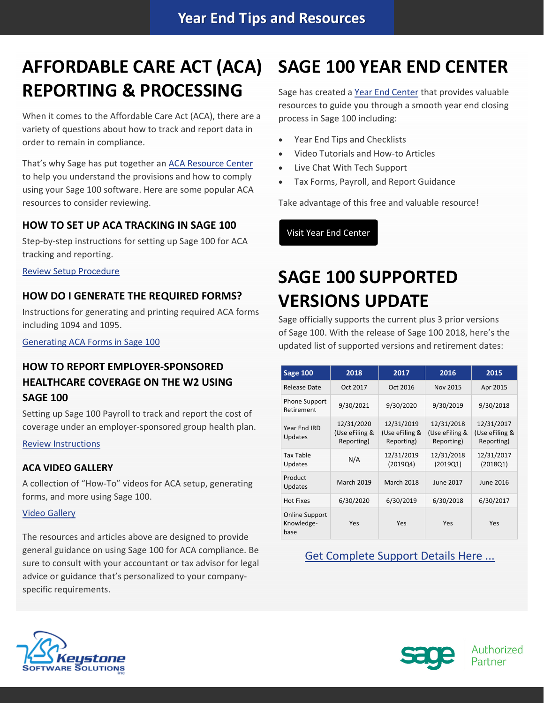# **AFFORDABLE CARE ACT (ACA) REPORTING & PROCESSING**

When it comes to the Affordable Care Act (ACA), there are a variety of questions about how to track and report data in order to remain in compliance.

That's why Sage has put together an ACA [Resource](http://sagecity.na.sage.com/p/aca/) Center to help you understand the provisions and how to comply using your Sage 100 software. Here are some popular ACA resources to consider reviewing.

#### **HOW TO SET UP ACA TRACKING IN SAGE 100**

Step-by-step instructions for setting up Sage 100 for ACA tracking and reporting.

Review Setup [Procedure](https://support.na.sage.com/selfservice/viewdocument.do?noCount=true&externalId=62495&sliceId=1&dialogID=84243&cmd=displayKC&docType=kc&noCount=true&stateId=84244&isLoadPublishedVer=&docTypeID=DT_Article&ViewedDocsListHelper=com.kanisa.apps.common.BaseView)

#### **HOW DO I GENERATE THE REQUIRED FORMS?**

Instructions for generating and printing required ACA forms including 1094 and 1095.

[Generating](https://support.na.sage.com/selfservice/viewdocument.do?noCount=true&externalId=71048&sliceId=1&dialogID=84243&cmd=displayKC&docType=kc&noCount=true&stateId=84244&isLoadPublishedVer=&docTypeID=DT_Article&ViewedDocsListHelper=com.kanisa.apps.common.) ACA Forms in Sage 100

### **HOW TO REPORT EMPLOYER‐SPONSORED HEALTHCARE COVERAGE ON THE W2 USING SAGE 100**

Setting up Sage 100 Payroll to track and report the cost of coverage under an employer‐sponsored group health plan.

Review [Instructions](https://support.na.sage.com/selfservice/viewdocument.do?noCount=true&externalId=19289&sliceId=1&cmd=&ViewedDocsListHelper=com.kanisa.apps.common.BaseViewedDocsListHelperImpl)

#### **ACA VIDEO GALLERY**

A collection of "How‐To" videos for ACA setup, generating forms, and more using Sage 100.

#### Video [Gallery](https://sagecity.na.sage.com/support_communities/sage100_erp/sage100-yearend/m/aca-mediagallery)

The resources and articles above are designed to provide general guidance on using Sage 100 for ACA compliance. Be sure to consult with your accountant or tax advisor for legal advice or guidance that's personalized to your company‐ specific requirements.

# **SAGE 100 YEAR END CENTER**

Sage has created a Year End [Center](https://sagecity.na.sage.com/support_communities/sage100_erp/sage100-yearend) that provides valuable resources to guide you through a smooth year end closing process in Sage 100 including:

- Year End Tips and Checklists
- Video Tutorials and How‐to Articles
- Live Chat With Tech Support
- Tax Forms, Payroll, and Report Guidance

Take advantage of this free and valuable resource!

Visit Year End [Center](https://sagecity.na.sage.com/support_communities/sage100_erp/sage100-yearend)

# **SAGE 100 SUPPORTED VERSIONS UPDATE**

Sage officially supports the current plus 3 prior versions of Sage 100. With the release of Sage 100 2018, here's the updated list of supported versions and retirement dates:

| <b>Sage 100</b>                             | 2018                                       | 2017                                       | 2016                                       | 2015                                       |
|---------------------------------------------|--------------------------------------------|--------------------------------------------|--------------------------------------------|--------------------------------------------|
| <b>Release Date</b>                         | Oct 2017                                   | Oct 2016                                   | <b>Nov 2015</b>                            | Apr 2015                                   |
| <b>Phone Support</b><br>Retirement          | 9/30/2021                                  | 9/30/2020                                  | 9/30/2019                                  | 9/30/2018                                  |
| Year End IRD<br>Updates                     | 12/31/2020<br>(Use eFiling &<br>Reporting) | 12/31/2019<br>(Use eFiling &<br>Reporting) | 12/31/2018<br>(Use eFiling &<br>Reporting) | 12/31/2017<br>(Use eFiling &<br>Reporting) |
| <b>Tax Table</b><br>Updates                 | N/A                                        | 12/31/2019<br>(2019Q4)                     | 12/31/2018<br>(2019Q1)                     | 12/31/2017<br>(2018Q1)                     |
| Product<br>Updates                          | <b>March 2019</b>                          | <b>March 2018</b>                          | June 2017                                  | June 2016                                  |
| <b>Hot Fixes</b>                            | 6/30/2020                                  | 6/30/2019                                  | 6/30/2018                                  | 6/30/2017                                  |
| <b>Online Support</b><br>Knowledge-<br>base | Yes                                        | Yes                                        | Yes                                        | Yes                                        |

Get [Complete](https://support.na.sage.com/selfservice/viewContent.do;jsessionid=672463315EABCF619673F9A346334B21.worker1d;jsessionid=09C438B395B8AF33F52C31CB360349DE.worker1d;jsessionid=DF314C1DF4B4879677414A84D37F7201.worker1d?externalId=31477&sliceId=1) Support Details Here ...